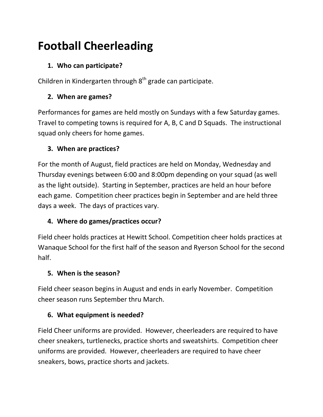# **Football Cheerleading**

## **1. Who can participate?**

Children in Kindergarten through  $8<sup>th</sup>$  grade can participate.

## **2. When are games?**

Performances for games are held mostly on Sundays with a few Saturday games. Travel to competing towns is required for A, B, C and D Squads. The instructional squad only cheers for home games.

### **3. When are practices?**

For the month of August, field practices are held on Monday, Wednesday and Thursday evenings between 6:00 and 8:00pm depending on your squad (as well as the light outside). Starting in September, practices are held an hour before each game. Competition cheer practices begin in September and are held three days a week. The days of practices vary.

## **4. Where do games/practices occur?**

Field cheer holds practices at Hewitt School. Competition cheer holds practices at Wanaque School for the first half of the season and Ryerson School for the second half.

### **5. When is the season?**

Field cheer season begins in August and ends in early November. Competition cheer season runs September thru March.

### **6. What equipment is needed?**

Field Cheer uniforms are provided. However, cheerleaders are required to have cheer sneakers, turtlenecks, practice shorts and sweatshirts. Competition cheer uniforms are provided. However, cheerleaders are required to have cheer sneakers, bows, practice shorts and jackets.